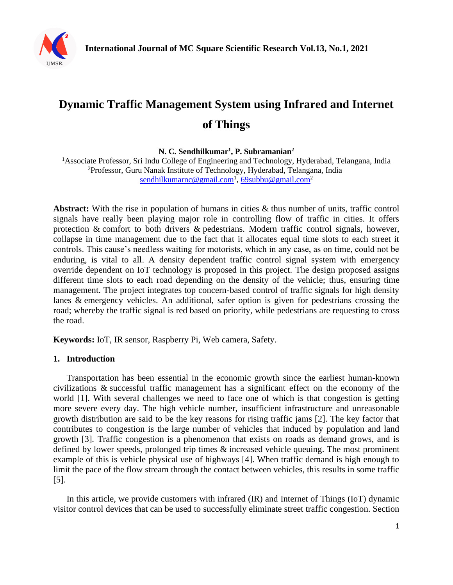

# **Dynamic Traffic Management System using Infrared and Internet of Things**

**N. C. Sendhilkumar<sup>1</sup> , P. Subramanian<sup>2</sup>**

<sup>1</sup>Associate Professor, Sri Indu College of Engineering and Technology, Hyderabad, Telangana, India <sup>2</sup>Professor, Guru Nanak Institute of Technology, Hyderabad, Telangana, India [sendhilkumarnc@gmail.com](mailto:sendhilkumarnc@gmail.com)<sup>1</sup>, [69subbu@gmail.com](mailto:69subbu@gmail.com)<sup>2</sup>

**Abstract:** With the rise in population of humans in cities & thus number of units, traffic control signals have really been playing major role in controlling flow of traffic in cities. It offers protection & comfort to both drivers & pedestrians. Modern traffic control signals, however, collapse in time management due to the fact that it allocates equal time slots to each street it controls. This cause's needless waiting for motorists, which in any case, as on time, could not be enduring, is vital to all. A density dependent traffic control signal system with emergency override dependent on IoT technology is proposed in this project. The design proposed assigns different time slots to each road depending on the density of the vehicle; thus, ensuring time management. The project integrates top concern-based control of traffic signals for high density lanes & emergency vehicles. An additional, safer option is given for pedestrians crossing the road; whereby the traffic signal is red based on priority, while pedestrians are requesting to cross the road.

**Keywords:** IoT, IR sensor, Raspberry Pi, Web camera, Safety.

#### **1. Introduction**

Transportation has been essential in the economic growth since the earliest human-known civilizations & successful traffic management has a significant effect on the economy of the world [1]. With several challenges we need to face one of which is that congestion is getting more severe every day. The high vehicle number, insufficient infrastructure and unreasonable growth distribution are said to be the key reasons for rising traffic jams [2]. The key factor that contributes to congestion is the large number of vehicles that induced by population and land growth [3]. Traffic congestion is a phenomenon that exists on roads as demand grows, and is defined by lower speeds, prolonged trip times & increased vehicle queuing. The most prominent example of this is vehicle physical use of highways [4]. When traffic demand is high enough to limit the pace of the flow stream through the contact between vehicles, this results in some traffic [5].

In this article, we provide customers with infrared (IR) and Internet of Things (IoT) dynamic visitor control devices that can be used to successfully eliminate street traffic congestion. Section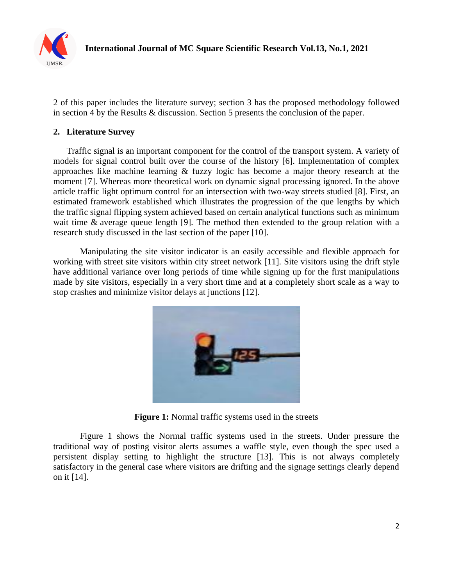

2 of this paper includes the literature survey; section 3 has the proposed methodology followed in section 4 by the Results & discussion. Section 5 presents the conclusion of the paper.

## **2. Literature Survey**

Traffic signal is an important component for the control of the transport system. A variety of models for signal control built over the course of the history [6]. Implementation of complex approaches like machine learning & fuzzy logic has become a major theory research at the moment [7]. Whereas more theoretical work on dynamic signal processing ignored. In the above article traffic light optimum control for an intersection with two-way streets studied [8]. First, an estimated framework established which illustrates the progression of the que lengths by which the traffic signal flipping system achieved based on certain analytical functions such as minimum wait time & average queue length [9]. The method then extended to the group relation with a research study discussed in the last section of the paper [10].

Manipulating the site visitor indicator is an easily accessible and flexible approach for working with street site visitors within city street network [11]. Site visitors using the drift style have additional variance over long periods of time while signing up for the first manipulations made by site visitors, especially in a very short time and at a completely short scale as a way to stop crashes and minimize visitor delays at junctions [12].



**Figure 1:** Normal traffic systems used in the streets

Figure 1 shows the Normal traffic systems used in the streets. Under pressure the traditional way of posting visitor alerts assumes a waffle style, even though the spec used a persistent display setting to highlight the structure [13]. This is not always completely satisfactory in the general case where visitors are drifting and the signage settings clearly depend on it [14].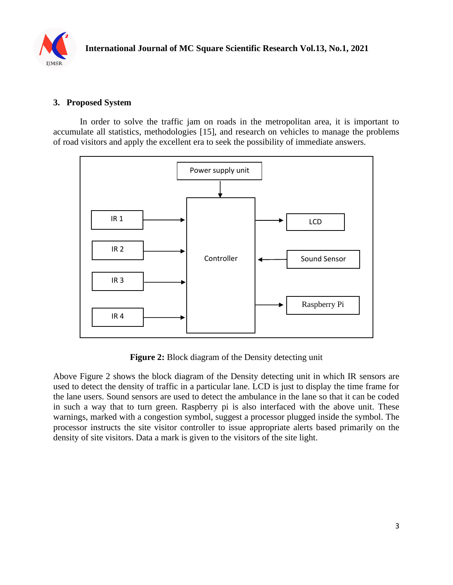

### **3. Proposed System**

In order to solve the traffic jam on roads in the metropolitan area, it is important to accumulate all statistics, methodologies [15], and research on vehicles to manage the problems of road visitors and apply the excellent era to seek the possibility of immediate answers.



**Figure 2:** Block diagram of the Density detecting unit

Above Figure 2 shows the block diagram of the Density detecting unit in which IR sensors are used to detect the density of traffic in a particular lane. LCD is just to display the time frame for the lane users. Sound sensors are used to detect the ambulance in the lane so that it can be coded in such a way that to turn green. Raspberry pi is also interfaced with the above unit. These warnings, marked with a congestion symbol, suggest a processor plugged inside the symbol. The processor instructs the site visitor controller to issue appropriate alerts based primarily on the density of site visitors. Data a mark is given to the visitors of the site light.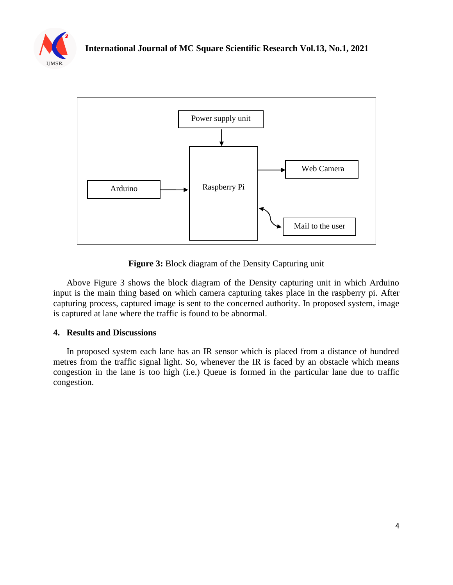



**Figure 3:** Block diagram of the Density Capturing unit

Above Figure 3 shows the block diagram of the Density capturing unit in which Arduino input is the main thing based on which camera capturing takes place in the raspberry pi. After capturing process, captured image is sent to the concerned authority. In proposed system, image is captured at lane where the traffic is found to be abnormal.

### **4. Results and Discussions**

In proposed system each lane has an IR sensor which is placed from a distance of hundred metres from the traffic signal light. So, whenever the IR is faced by an obstacle which means congestion in the lane is too high (i.e.) Queue is formed in the particular lane due to traffic congestion.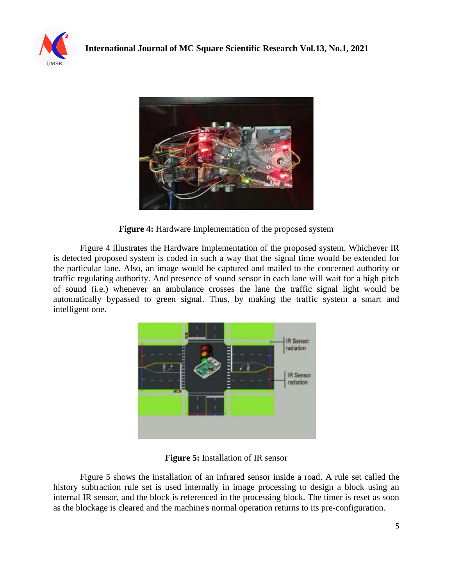



**Figure 4:** Hardware Implementation of the proposed system

Figure 4 illustrates the Hardware Implementation of the proposed system. Whichever IR is detected proposed system is coded in such a way that the signal time would be extended for the particular lane. Also, an image would be captured and mailed to the concerned authority or traffic regulating authority. And presence of sound sensor in each lane will wait for a high pitch of sound (i.e.) whenever an ambulance crosses the lane the traffic signal light would be automatically bypassed to green signal. Thus, by making the traffic system a smart and intelligent one.



**Figure 5:** Installation of IR sensor

Figure 5 shows the installation of an infrared sensor inside a road. A rule set called the history subtraction rule set is used internally in image processing to design a block using an internal IR sensor, and the block is referenced in the processing block. The timer is reset as soon as the blockage is cleared and the machine's normal operation returns to its pre-configuration.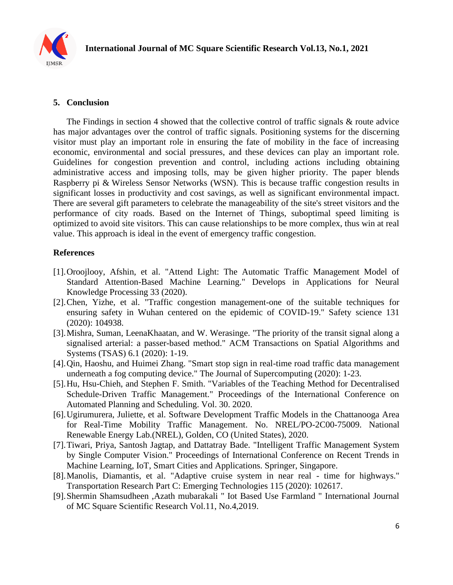

## **5. Conclusion**

The Findings in section 4 showed that the collective control of traffic signals & route advice has major advantages over the control of traffic signals. Positioning systems for the discerning visitor must play an important role in ensuring the fate of mobility in the face of increasing economic, environmental and social pressures, and these devices can play an important role. Guidelines for congestion prevention and control, including actions including obtaining administrative access and imposing tolls, may be given higher priority. The paper blends Raspberry pi & Wireless Sensor Networks (WSN). This is because traffic congestion results in significant losses in productivity and cost savings, as well as significant environmental impact. There are several gift parameters to celebrate the manageability of the site's street visitors and the performance of city roads. Based on the Internet of Things, suboptimal speed limiting is optimized to avoid site visitors. This can cause relationships to be more complex, thus win at real value. This approach is ideal in the event of emergency traffic congestion.

### **References**

- [1].Oroojlooy, Afshin, et al. "Attend Light: The Automatic Traffic Management Model of Standard Attention-Based Machine Learning." Develops in Applications for Neural Knowledge Processing 33 (2020).
- [2].Chen, Yizhe, et al. "Traffic congestion management-one of the suitable techniques for ensuring safety in Wuhan centered on the epidemic of COVID-19." Safety science 131 (2020): 104938.
- [3].Mishra, Suman, LeenaKhaatan, and W. Werasinge. "The priority of the transit signal along a signalised arterial: a passer-based method." ACM Transactions on Spatial Algorithms and Systems (TSAS) 6.1 (2020): 1-19.
- [4].Qin, Haoshu, and Huimei Zhang. "Smart stop sign in real-time road traffic data management underneath a fog computing device." The Journal of Supercomputing (2020): 1-23.
- [5].Hu, Hsu-Chieh, and Stephen F. Smith. "Variables of the Teaching Method for Decentralised Schedule-Driven Traffic Management." Proceedings of the International Conference on Automated Planning and Scheduling. Vol. 30. 2020.
- [6].Ugirumurera, Juliette, et al. Software Development Traffic Models in the Chattanooga Area for Real-Time Mobility Traffic Management. No. NREL/PO-2C00-75009. National Renewable Energy Lab.(NREL), Golden, CO (United States), 2020.
- [7].Tiwari, Priya, Santosh Jagtap, and Dattatray Bade. "Intelligent Traffic Management System by Single Computer Vision." Proceedings of International Conference on Recent Trends in Machine Learning, IoT, Smart Cities and Applications. Springer, Singapore.
- [8].Manolis, Diamantis, et al. "Adaptive cruise system in near real time for highways." Transportation Research Part C: Emerging Technologies 115 (2020): 102617.
- [9].Shermin Shamsudheen ,Azath mubarakali " Iot Based Use Farmland " International Journal of MC Square Scientific Research Vol.11, No.4,2019.